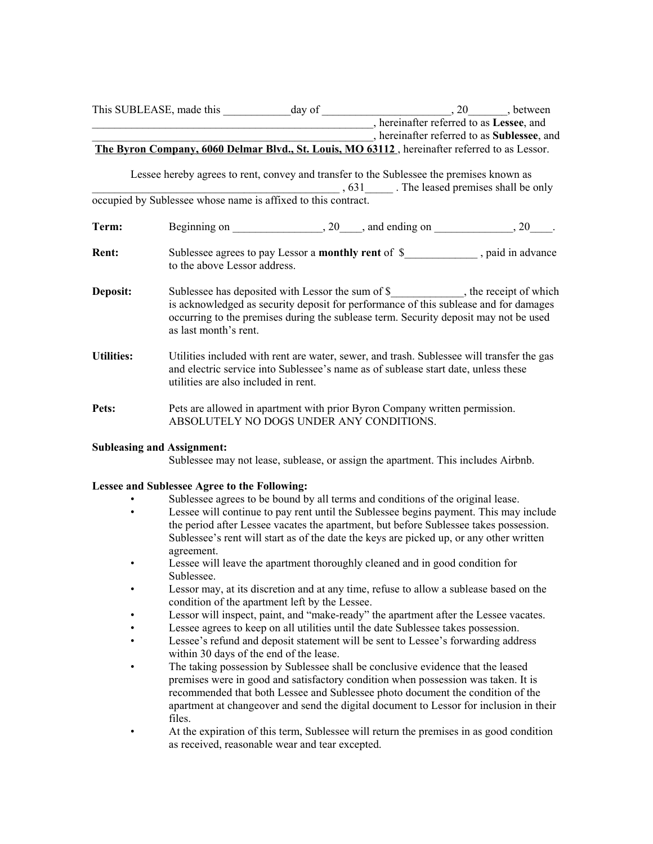|               |                                                                                                                                          |         |                                                                                    | ___________________________, hereinafter referred to as Sublessee, and                                                                                                                                                                                                    |  |
|---------------|------------------------------------------------------------------------------------------------------------------------------------------|---------|------------------------------------------------------------------------------------|---------------------------------------------------------------------------------------------------------------------------------------------------------------------------------------------------------------------------------------------------------------------------|--|
|               |                                                                                                                                          |         |                                                                                    | The Byron Company, 6060 Delmar Blvd., St. Louis, MO 63112, hereinafter referred to as Lessor.                                                                                                                                                                             |  |
|               | Lessee hereby agrees to rent, convey and transfer to the Sublessee the premises known as                                                 |         |                                                                                    |                                                                                                                                                                                                                                                                           |  |
|               |                                                                                                                                          |         |                                                                                    | occupied by Sublessee whose name is affixed to this contract.<br>. The leased premises shall be only                                                                                                                                                                      |  |
| Term:         |                                                                                                                                          |         |                                                                                    |                                                                                                                                                                                                                                                                           |  |
| <b>Rent:</b>  | to the above Lessor address.                                                                                                             |         |                                                                                    | Sublessee agrees to pay Lessor a monthly rent of \$______________, paid in advance                                                                                                                                                                                        |  |
| Deposit:      | as last month's rent.                                                                                                                    |         |                                                                                    | Sublessee has deposited with Lessor the sum of \$_____________, the receipt of which<br>is acknowledged as security deposit for performance of this sublease and for damages<br>occurring to the premises during the sublease term. Security deposit may not be used      |  |
| Uti           | d electric strvice in<br>lities are also includ                                                                                          | n rent. | mues in led with are water, and trash. Sub                                         | gas<br>blessee's named of sublease date, unless these                                                                                                                                                                                                                     |  |
| Pets:         | <b>SSOLUTELY NO I</b>                                                                                                                    |         | ts are allowed in ap ent with price on Comp vritten permission.<br><b>V</b> CONDIT |                                                                                                                                                                                                                                                                           |  |
| Subleasing an | signment:                                                                                                                                |         | blessee may not lea ublease, or assig apart This includes Airbnb.                  |                                                                                                                                                                                                                                                                           |  |
|               | Lessee and Sy ee Agree to the Forming:                                                                                                   |         |                                                                                    |                                                                                                                                                                                                                                                                           |  |
|               | buonessee agrees to be bound by an terms and conditions of the compression                                                               |         |                                                                                    |                                                                                                                                                                                                                                                                           |  |
|               | agreement.                                                                                                                               |         |                                                                                    | Lessee will continue to pay rent until the Sublessee begins payment. This may include<br>the period after Lessee vacates the apartment, but before Sublessee takes possession.<br>Sublessee's rent will start as of the date the keys are picked up, or any other written |  |
|               | Lessee will leave the apartment thoroughly cleaned and in good condition for<br>Sublessee.                                               |         |                                                                                    |                                                                                                                                                                                                                                                                           |  |
|               | Lessor may, at its discretion and at any time, refuse to allow a sublease based on the<br>condition of the apartment left by the Lessee. |         |                                                                                    |                                                                                                                                                                                                                                                                           |  |
|               | Lessor will inspect, paint, and "make-ready" the apartment after the Lessee vacates.                                                     |         |                                                                                    |                                                                                                                                                                                                                                                                           |  |
|               | Lessee agrees to keep on all utilities until the date Sublessee takes possession.                                                        |         |                                                                                    |                                                                                                                                                                                                                                                                           |  |
|               | Lessee's refund and deposit statement will be sent to Lessee's forwarding address<br>within 30 days of the end of the lease.             |         |                                                                                    |                                                                                                                                                                                                                                                                           |  |
|               | The taking possession by Sublessee shall be conclusive evidence that the leased                                                          |         |                                                                                    |                                                                                                                                                                                                                                                                           |  |
|               | premises were in good and satisfactory condition when possession was taken. It is                                                        |         |                                                                                    | recommended that both Lessee and Sublessee photo document the condition of the                                                                                                                                                                                            |  |

- apartment at changeover and send the digital document to Lessor for inclusion in their files.
- At the expiration of this term, Sublessee will return the premises in as good condition as received, reasonable wear and tear excepted.